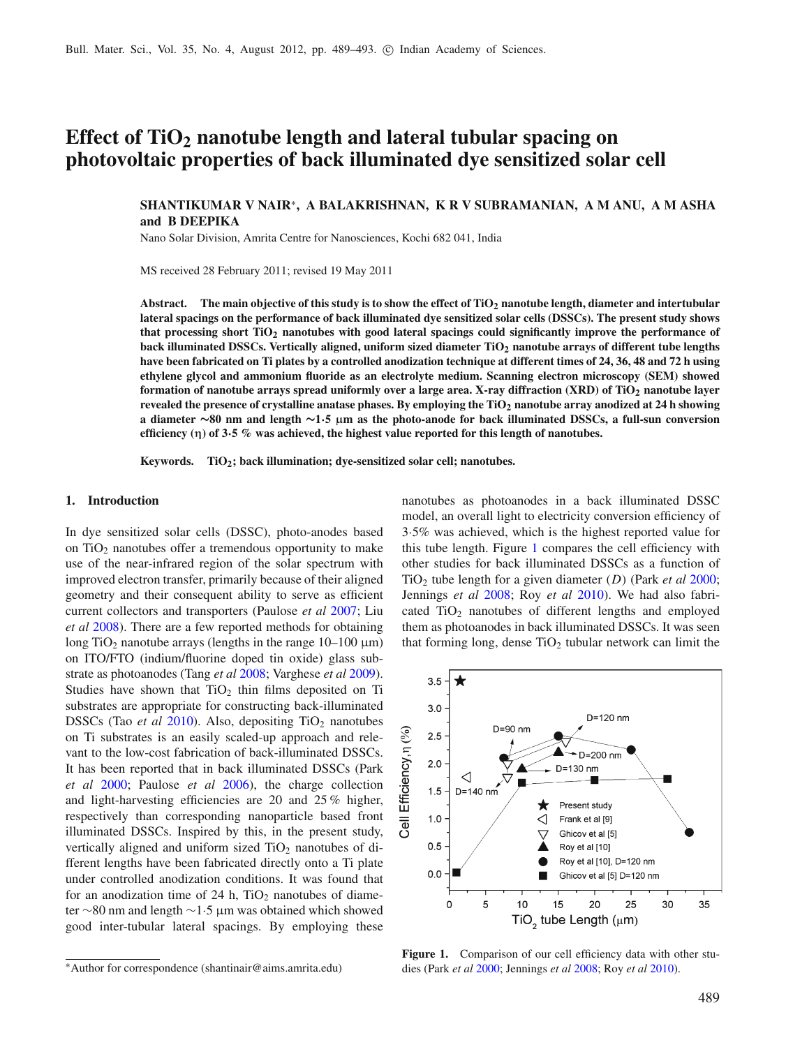# **Effect of TiO2 nanotube length and lateral tubular spacing on photovoltaic properties of back illuminated dye sensitized solar cell**

# **SHANTIKUMAR V NAIR**<sup>∗</sup>**, A BALAKRISHNAN, K R V SUBRAMANIAN, A M ANU, A M ASHA and B DEEPIKA**

Nano Solar Division, Amrita Centre for Nanosciences, Kochi 682 041, India

MS received 28 February 2011; revised 19 May 2011

Abstract. The main objective of this study is to show the effect of TiO<sub>2</sub> nanotube length, diameter and intertubular **lateral spacings on the performance of back illuminated dye sensitized solar cells (DSSCs). The present study shows that processing short TiO2 nanotubes with good lateral spacings could significantly improve the performance of back illuminated DSSCs. Vertically aligned, uniform sized diameter TiO2 nanotube arrays of different tube lengths have been fabricated on Ti plates by a controlled anodization technique at different times of 24, 36, 48 and 72 h using ethylene glycol and ammonium fluoride as an electrolyte medium. Scanning electron microscopy (SEM) showed formation of nanotube arrays spread uniformly over a large area. X-ray diffraction (XRD) of TiO2 nanotube layer revealed the presence of crystalline anatase phases. By employing the TiO2 nanotube array anodized at 24 h showing a diameter ∼80 nm and length ∼1·5 μm as the photo-anode for back illuminated DSSCs, a full-sun conversion efficiency (η) of 3·5 % was achieved, the highest value reported for this length of nanotubes.**

**Keywords. TiO2; back illumination; dye-sensitized solar cell; nanotubes.**

#### **1. Introduction**

In dye sensitized solar cells (DSSC), photo-anodes based on  $TiO<sub>2</sub>$  nanotubes offer a tremendous opportunity to make use of the near-infrared region of the solar spectrum with improved electron transfer, primarily because of their aligned geometry and their consequent ability to serve as efficient current collectors and transporters (Paulose *et a[l](#page-3-0)* [2007;](#page-3-0) Liu *et a[l](#page-3-1)* [2008](#page-3-1)). There are a few reported methods for obtaining long TiO<sub>2</sub> nanotube arrays (lengths in the range  $10-100 \mu m$ ) on ITO/FTO (indium/fluorine doped tin oxide) glass substrate as photoanodes (Tang *et a[l](#page-3-2)* [2008;](#page-3-2) Varghese *et a[l](#page-4-0)* [2009\)](#page-4-0). Studies have shown that  $TiO<sub>2</sub>$  thin films deposited on Ti substrates are appropriate for constructing back-illuminated DSSCs (Tao *et a[l](#page-4-1)* [2010\)](#page-4-1). Also, depositing  $TiO<sub>2</sub>$  nanotubes on Ti substrates is an easily scaled-up approach and relevant to the low-cost fabrication of back-illuminated DSSCs. It has been reported that in back illuminated DSSCs (Park *et a[l](#page-3-3)* [2000](#page-3-3); Paulose *et a[l](#page-3-4)* [2006\)](#page-3-4), the charge collection and light-harvesting efficiencies are 20 and 25 % higher, respectively than corresponding nanoparticle based front illuminated DSSCs. Inspired by this, in the present study, vertically aligned and uniform sized  $TiO<sub>2</sub>$  nanotubes of different lengths have been fabricated directly onto a Ti plate under controlled anodization conditions. It was found that for an anodization time of 24 h,  $TiO<sub>2</sub>$  nanotubes of diameter ∼80 nm and length ∼1·5 μm was obtained which showed good inter-tubular lateral spacings. By employing these nanotubes as photoanodes in a back illuminated DSSC model, an overall light to electricity conversion efficiency of 3·5% was achieved, which is the highest reported value for this tube length. Figure [1](#page-0-0) compares the cell efficiency with other studies for back illuminated DSSCs as a function of TiO2 tube length for a given diameter (*D*) (Park *et a[l](#page-3-3)* [2000;](#page-3-3) Jennings *et a[l](#page-3-5)* [2008;](#page-3-5) Roy *et a[l](#page-3-6)* [2010\)](#page-3-6). We had also fabricated  $TiO<sub>2</sub>$  nanotubes of different lengths and employed them as photoanodes in back illuminated DSSCs. It was seen that forming long, dense  $TiO<sub>2</sub>$  tubular network can limit the

<span id="page-0-0"></span>

**Figure 1.** Comparison of our cell efficiency data with other studies (Park *et a[l](#page-3-3)* [2000;](#page-3-3) Jennings *et a[l](#page-3-5)* [2008](#page-3-5); Roy *et a[l](#page-3-6)* [2010\)](#page-3-6).

<sup>∗</sup>Author for correspondence (shantinair@aims.amrita.edu)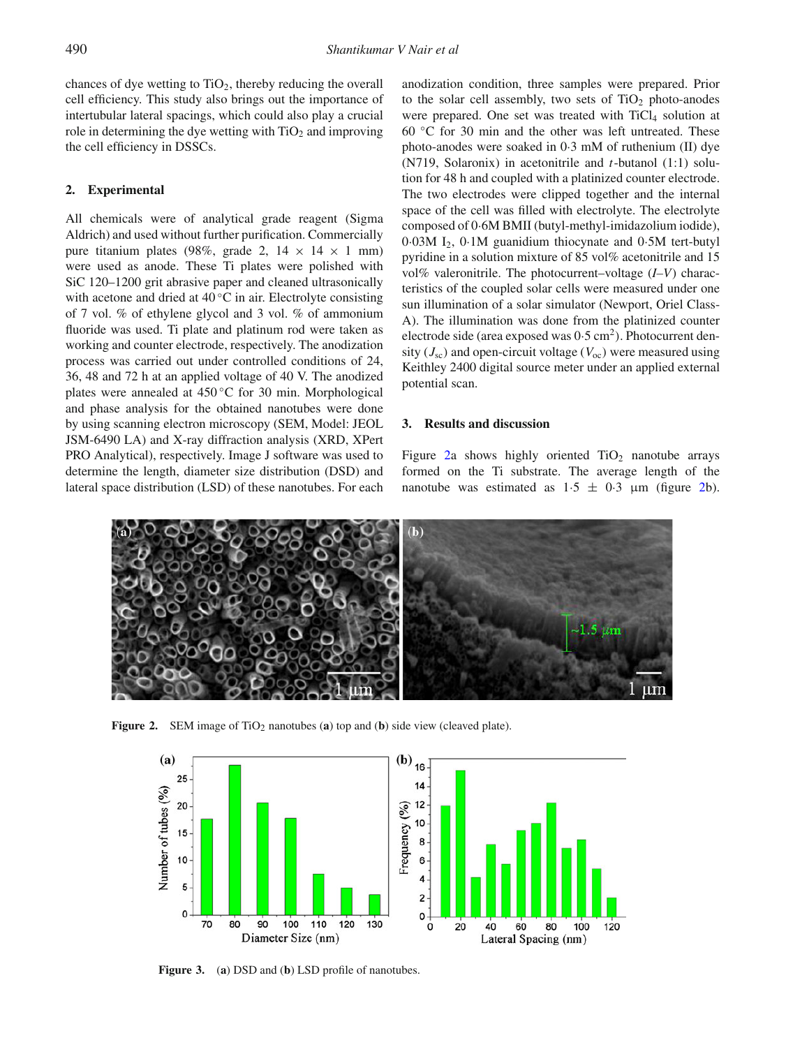chances of dye wetting to  $TiO<sub>2</sub>$ , thereby reducing the overall cell efficiency. This study also brings out the importance of intertubular lateral spacings, which could also play a crucial role in determining the dye wetting with  $TiO<sub>2</sub>$  and improving the cell efficiency in DSSCs.

## **2. Experimental**

All chemicals were of analytical grade reagent (Sigma Aldrich) and used without further purification. Commercially pure titanium plates (98%, grade 2,  $14 \times 14 \times 1$  mm) were used as anode. These Ti plates were polished with SiC 120–1200 grit abrasive paper and cleaned ultrasonically with acetone and dried at  $40^{\circ}$ C in air. Electrolyte consisting of 7 vol. % of ethylene glycol and 3 vol. % of ammonium fluoride was used. Ti plate and platinum rod were taken as working and counter electrode, respectively. The anodization process was carried out under controlled conditions of 24, 36, 48 and 72 h at an applied voltage of 40 V. The anodized plates were annealed at 450 ◦C for 30 min. Morphological and phase analysis for the obtained nanotubes were done by using scanning electron microscopy (SEM, Model: JEOL JSM-6490 LA) and X-ray diffraction analysis (XRD, XPert PRO Analytical), respectively. Image J software was used to determine the length, diameter size distribution (DSD) and lateral space distribution (LSD) of these nanotubes. For each anodization condition, three samples were prepared. Prior to the solar cell assembly, two sets of  $TiO<sub>2</sub>$  photo-anodes were prepared. One set was treated with  $TiCl<sub>4</sub>$  solution at 60 ◦C for 30 min and the other was left untreated. These photo-anodes were soaked in 0·3 mM of ruthenium (II) dye (N719, Solaronix) in acetonitrile and *t*-butanol (1:1) solution for 48 h and coupled with a platinized counter electrode. The two electrodes were clipped together and the internal space of the cell was filled with electrolyte. The electrolyte composed of 0·6M BMII (butyl-methyl-imidazolium iodide), 0·03M I2, 0·1M guanidium thiocynate and 0·5M tert-butyl pyridine in a solution mixture of 85 vol% acetonitrile and 15 vol% valeronitrile. The photocurrent–voltage (*I–V*) characteristics of the coupled solar cells were measured under one sun illumination of a solar simulator (Newport, Oriel Class-A). The illumination was done from the platinized counter electrode side (area exposed was  $0.5 \text{ cm}^2$ ). Photocurrent density  $(J_{\rm sc})$  and open-circuit voltage  $(V_{\rm oc})$  were measured using Keithley 2400 digital source meter under an applied external potential scan.

## **3. Results and discussion**

Figure [2a](#page-1-0) shows highly oriented  $TiO<sub>2</sub>$  nanotube arrays formed on the Ti substrate. The average length of the nanotube was estimated as  $1.5 \pm 0.3$  μm (figure [2b](#page-1-0)).

<span id="page-1-0"></span>

<span id="page-1-1"></span>**Figure 2.** SEM image of TiO<sub>2</sub> nanotubes (**a**) top and (**b**) side view (cleaved plate).



**Figure 3.** (**a**) DSD and (**b**) LSD profile of nanotubes.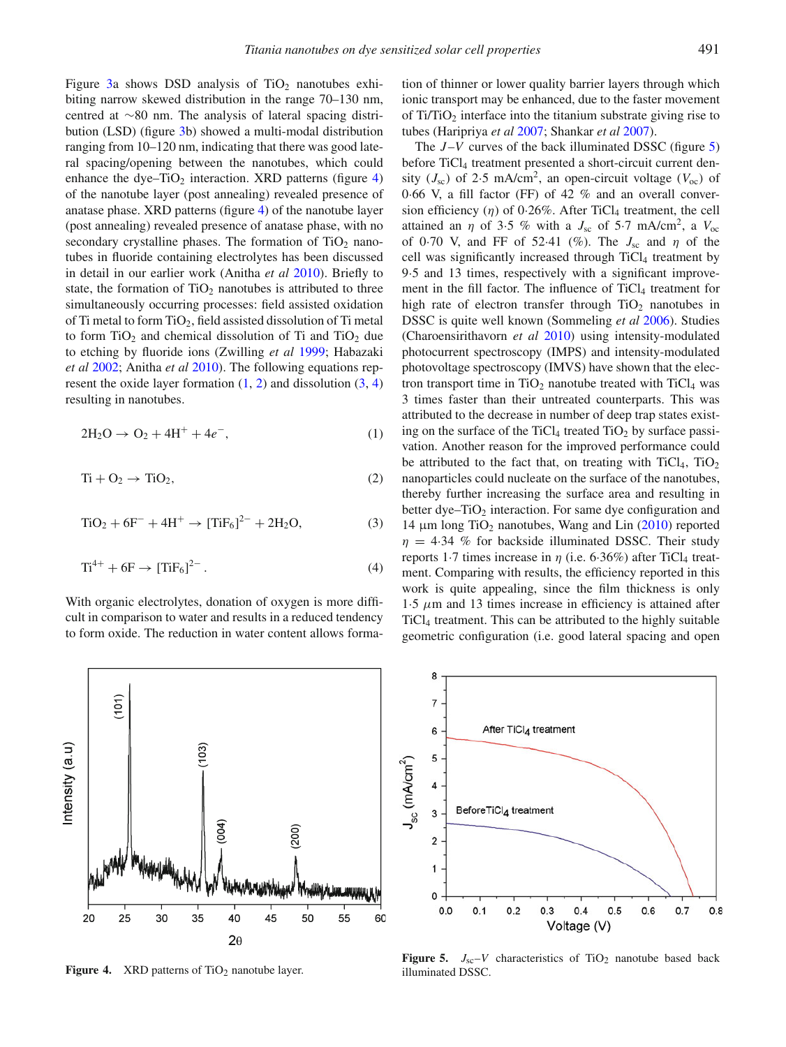Figure [3a](#page-1-1) shows DSD analysis of  $TiO<sub>2</sub>$  nanotubes exhibiting narrow skewed distribution in the range 70–130 nm, centred at ∼80 nm. The analysis of lateral spacing distribution (LSD) (figure [3b](#page-1-1)) showed a multi-modal distribution ranging from 10–120 nm, indicating that there was good lateral spacing/opening between the nanotubes, which could enhance the dye–TiO<sub>2</sub> interaction. XRD patterns (figure  $4$ ) of the nanotube layer (post annealing) revealed presence of anatase phase. XRD patterns (figure [4\)](#page-2-0) of the nanotube layer (post annealing) revealed presence of anatase phase, with no secondary crystalline phases. The formation of  $TiO<sub>2</sub>$  nanotubes in fluoride containing electrolytes has been discussed in detail in our earlier work (Anitha *et a[l](#page-3-7)* [2010](#page-3-7)). Briefly to state, the formation of  $TiO<sub>2</sub>$  nanotubes is attributed to three simultaneously occurring processes: field assisted oxidation of Ti metal to form  $TiO<sub>2</sub>$ , field assisted dissolution of Ti metal to form  $TiO<sub>2</sub>$  and chemical dissolution of Ti and  $TiO<sub>2</sub>$  due to etching by fluoride ions (Zwilling *et a[l](#page-4-2)* [1999](#page-4-2); Habazaki *et a[l](#page-3-8)* [2002;](#page-3-8) Anitha *et a[l](#page-3-7)* [2010\)](#page-3-7). The following equations represent the oxide layer formation  $(1, 2)$  $(1, 2)$  $(1, 2)$  and dissolution  $(3, 4)$  $(3, 4)$  $(3, 4)$ resulting in nanotubes.

<span id="page-2-2"></span><span id="page-2-1"></span>
$$
2H_2O \to O_2 + 4H^+ + 4e^-, \tag{1}
$$

<span id="page-2-3"></span>
$$
Ti + O_2 \rightarrow TiO_2, \tag{2}
$$

<span id="page-2-4"></span>
$$
TiO_2 + 6F^- + 4H^+ \to [TiF_6]^{2-} + 2H_2O,
$$
\n(3)

$$
Ti^{4+} + 6F \to [TiF_6]^{2-}.
$$
 (4)

With organic electrolytes, donation of oxygen is more difficult in comparison to water and results in a reduced tendency to form oxide. The reduction in water content allows forma-

tion of thinner or lower quality barrier layers through which ionic transport may be enhanced, due to the faster movement of  $Ti/TiO<sub>2</sub>$  interface into the titanium substrate giving rise to tubes (Haripriya *et a[l](#page-3-9)* [2007](#page-3-9); Shankar *et a[l](#page-3-10)* [2007](#page-3-10)).

The *J*–*V* curves of the back illuminated DSSC (figure [5\)](#page-2-5) before TiCl<sub>4</sub> treatment presented a short-circuit current density ( $J_{\rm sc}$ ) of 2.5 mA/cm<sup>2</sup>, an open-circuit voltage ( $V_{\rm oc}$ ) of 0·66 V, a fill factor (FF) of 42 % and an overall conversion efficiency  $(\eta)$  of 0.26%. After TiCl<sub>4</sub> treatment, the cell attained an  $\eta$  of 3.5 % with a  $J_{\rm sc}$  of 5.7 mA/cm<sup>2</sup>, a  $V_{\rm oc}$ of 0.70 V, and FF of 52.41 (%). The  $J_{\rm sc}$  and  $\eta$  of the cell was significantly increased through TiCl<sub>4</sub> treatment by 9·5 and 13 times, respectively with a significant improvement in the fill factor. The influence of TiCl<sub>4</sub> treatment for high rate of electron transfer through  $TiO<sub>2</sub>$  nanotubes in DSSC is quite well known (Sommeling *et a[l](#page-3-11)* [2006\)](#page-3-11). Studies (Charoensirithavorn *et a[l](#page-3-12)* [2010](#page-3-12)) using intensity-modulated photocurrent spectroscopy (IMPS) and intensity-modulated photovoltage spectroscopy (IMVS) have shown that the electron transport time in  $TiO<sub>2</sub>$  nanotube treated with  $TiCl<sub>4</sub>$  was 3 times faster than their untreated counterparts. This was attributed to the decrease in number of deep trap states existing on the surface of the TiCl<sub>4</sub> treated TiO<sub>2</sub> by surface passivation. Another reason for the improved performance could be attributed to the fact that, on treating with  $TiCl<sub>4</sub>$ ,  $TiO<sub>2</sub>$ nanoparticles could nucleate on the surface of the nanotubes, thereby further increasing the surface area and resulting in better dye– $TiO<sub>2</sub>$  interaction. For same dye configuration and 14 μm lo[n](#page-4-3)g TiO<sub>2</sub> nanotubes, Wang and Lin  $(2010)$  $(2010)$  reported  $\eta = 4.34$  % for backside illuminated DSSC. Their study reports 1.7 times increase in  $\eta$  (i.e. 6.36%) after TiCl<sub>4</sub> treatment. Comparing with results, the efficiency reported in this work is quite appealing, since the film thickness is only  $1.5 \mu$ m and 13 times increase in efficiency is attained after TiCl4 treatment. This can be attributed to the highly suitable geometric configuration (i.e. good lateral spacing and open

<span id="page-2-0"></span>

**Figure 4.** XRD patterns of TiO<sub>2</sub> nanotube layer.

<span id="page-2-5"></span>

**Figure 5.**  $J_{sc}-V$  characteristics of TiO<sub>2</sub> nanotube based back illuminated DSSC.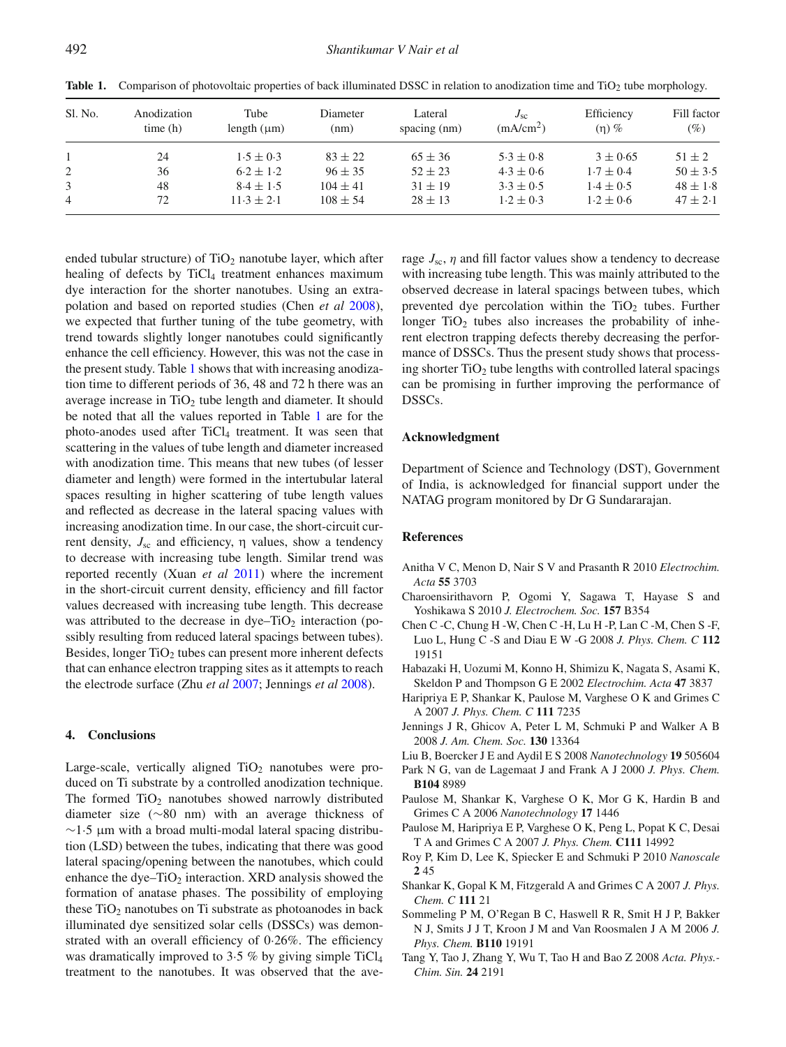| Anodization<br>time(h) | Tube<br>length $(\mu m)$ | Diameter<br>(nm) | Lateral<br>spacing $(nm)$ | $J_{sc}$<br>(mA/cm <sup>2</sup> ) | Efficiency<br>$(n)$ % | Fill factor<br>(%) |
|------------------------|--------------------------|------------------|---------------------------|-----------------------------------|-----------------------|--------------------|
| 24                     | $1.5 \pm 0.3$            | $83 \pm 22$      | $65 \pm 36$               | $5.3 \pm 0.8$                     | $3 \pm 0.65$          | $51 \pm 2$         |
| 36                     | $6.2 \pm 1.2$            | $96 \pm 35$      | $52 \pm 23$               | $4.3 \pm 0.6$                     | $1.7 \pm 0.4$         | $50 \pm 3.5$       |
| 48                     | $8.4 \pm 1.5$            | $104 \pm 41$     | $31 \pm 19$               | $3.3 \pm 0.5$                     | $1.4 \pm 0.5$         | $48 \pm 1.8$       |
| 72                     | $11.3 \pm 2.1$           | $108 \pm 54$     | $28 \pm 13$               | $1.2 \pm 0.3$                     | $1.2 \pm 0.6$         | $47 \pm 2.1$       |
|                        |                          |                  |                           |                                   |                       |                    |

<span id="page-3-14"></span>**Table 1.** Comparison of photovoltaic properties of back illuminated DSSC in relation to anodization time and TiO<sub>2</sub> tube morphology.

ended tubular structure) of  $TiO<sub>2</sub>$  nanotube layer, which after healing of defects by  $TiCl<sub>4</sub>$  treatment enhances maximum dye interaction for the shorter nanotubes. Using an extrapolation and based on reported studies (Chen *et a[l](#page-3-13)* [2008\)](#page-3-13), we expected that further tuning of the tube geometry, with trend towards slightly longer nanotubes could significantly enhance the cell efficiency. However, this was not the case in the present study. Table [1](#page-3-14) shows that with increasing anodization time to different periods of 36, 48 and 72 h there was an average increase in  $TiO<sub>2</sub>$  tube length and diameter. It should be noted that all the values reported in Table [1](#page-3-14) are for the photo-anodes used after TiCl4 treatment. It was seen that scattering in the values of tube length and diameter increased with anodization time. This means that new tubes (of lesser diameter and length) were formed in the intertubular lateral spaces resulting in higher scattering of tube length values and reflected as decrease in the lateral spacing values with increasing anodization time. In our case, the short-circuit current density,  $J_{\rm sc}$  and efficiency, η values, show a tendency to decrease with increasing tube length. Similar trend was reported recently (Xuan *et a[l](#page-4-4)* [2011](#page-4-4)) where the increment in the short-circuit current density, efficiency and fill factor values decreased with increasing tube length. This decrease was attributed to the decrease in  $dy - TiO<sub>2</sub>$  interaction (possibly resulting from reduced lateral spacings between tubes). Besides, longer  $TiO<sub>2</sub>$  tubes can present more inherent defects that can enhance electron trapping sites as it attempts to reach the electrode surface (Zhu *et a[l](#page-4-5)* [2007](#page-4-5); Jennings *et a[l](#page-3-5)* [2008\)](#page-3-5).

### **4. Conclusions**

Large-scale, vertically aligned  $TiO<sub>2</sub>$  nanotubes were produced on Ti substrate by a controlled anodization technique. The formed  $TiO<sub>2</sub>$  nanotubes showed narrowly distributed diameter size (∼80 nm) with an average thickness of  $~\sim$ 1.5 µm with a broad multi-modal lateral spacing distribution (LSD) between the tubes, indicating that there was good lateral spacing/opening between the nanotubes, which could enhance the dye– $TiO<sub>2</sub>$  interaction. XRD analysis showed the formation of anatase phases. The possibility of employing these  $TiO<sub>2</sub>$  nanotubes on Ti substrate as photoanodes in back illuminated dye sensitized solar cells (DSSCs) was demonstrated with an overall efficiency of 0·26%. The efficiency was dramatically improved to 3.5 % by giving simple  $TiCl<sub>4</sub>$ treatment to the nanotubes. It was observed that the average  $J_{\rm sc}$ ,  $\eta$  and fill factor values show a tendency to decrease with increasing tube length. This was mainly attributed to the observed decrease in lateral spacings between tubes, which prevented dye percolation within the  $TiO<sub>2</sub>$  tubes. Further longer  $TiO<sub>2</sub>$  tubes also increases the probability of inherent electron trapping defects thereby decreasing the performance of DSSCs. Thus the present study shows that processing shorter  $TiO<sub>2</sub>$  tube lengths with controlled lateral spacings can be promising in further improving the performance of DSSCs.

## **Acknowledgment**

Department of Science and Technology (DST), Government of India, is acknowledged for financial support under the NATAG program monitored by Dr G Sundararajan.

#### **References**

- <span id="page-3-7"></span>Anitha V C, Menon D, Nair S V and Prasanth R 2010 *Electrochim. Acta* **55** 3703
- <span id="page-3-12"></span>Charoensirithavorn P, Ogomi Y, Sagawa T, Hayase S and Yoshikawa S 2010 *J. Electrochem. Soc.* **157** B354
- <span id="page-3-13"></span>Chen C -C, Chung H -W, Chen C -H, Lu H -P, Lan C -M, Chen S -F, Luo L, Hung C -S and Diau E W -G 2008 *J. Phys. Chem. C* **112** 19151
- <span id="page-3-8"></span>Habazaki H, Uozumi M, Konno H, Shimizu K, Nagata S, Asami K, Skeldon P and Thompson G E 2002 *Electrochim. Acta* **47** 3837
- <span id="page-3-9"></span>Haripriya E P, Shankar K, Paulose M, Varghese O K and Grimes C A 2007 *J. Phys. Chem. C* **111** 7235
- <span id="page-3-5"></span>Jennings J R, Ghicov A, Peter L M, Schmuki P and Walker A B 2008 *J. Am. Chem. Soc.* **130** 13364
- <span id="page-3-1"></span>Liu B, Boercker J E and Aydil E S 2008 *Nanotechnology* **19** 505604
- <span id="page-3-3"></span>Park N G, van de Lagemaat J and Frank A J 2000 *J. Phys. Chem.*
- **B104** 8989 Paulose M, Shankar K, Varghese O K, Mor G K, Hardin B and
- <span id="page-3-4"></span>Grimes C A 2006 *Nanotechnology* **17** 1446
- <span id="page-3-0"></span>Paulose M, Haripriya E P, Varghese O K, Peng L, Popat K C, Desai T A and Grimes C A 2007 *J. Phys. Chem.* **C111** 14992
- <span id="page-3-6"></span>Roy P, Kim D, Lee K, Spiecker E and Schmuki P 2010 *Nanoscale* **2** 45
- <span id="page-3-10"></span>Shankar K, Gopal K M, Fitzgerald A and Grimes C A 2007 *J. Phys. Chem. C* **111** 21
- <span id="page-3-11"></span>Sommeling P M, O'Regan B C, Haswell R R, Smit H J P, Bakker N J, Smits J J T, Kroon J M and Van Roosmalen J A M 2006 *J. Phys. Chem.* **B110** 19191
- <span id="page-3-2"></span>Tang Y, Tao J, Zhang Y, Wu T, Tao H and Bao Z 2008 *Acta. Phys.- Chim. Sin.* **24** 2191